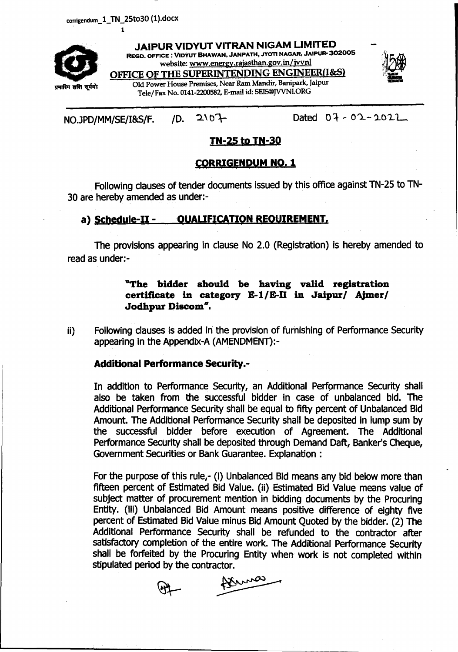corrigendum\_1\_TN\_25to30 (1).docx 1



JAIPUR VlDYUT VITRAN NIGAM LIMITED REGD. OFFICE: VIDYUT BHAWAN, JANPATH, JYOTI NAGAR, JAIPUR- *302005* website: [www.energy.rajasthan.gov.in/jvynl](http://www.energy.rajasthan.gov.in/jvynl) OFFICE OF THE SUPERINTENDING ENGINEER(I&S)



Old Power House Premises, Near Ram Mandir, Banipark, [aipur Tele/Fax No. 0141-2200582, E-mail id: SEIS@JVVNl.ORG

### NOJPD/MM/SE/I&S/F. *10.* '2\ 01-

 $Data 07 - 02 - 2022$ 

## TN-25 to TN-3Q

### <u>CORRIGENDUM NO. 1</u>

Following clauses of tender documents issued by this office against TN-25 to TN-30 are hereby amended as under:- .

#### a) Schedule-II - QUALIFICATION REQUIREMENT,

The provisions appearing in clause No 2.0 (Registration) is hereby amended to read as under:-

#### "The bidder should be having valid registration certificate in category E-l/E-II in Jaipur/ AJmer/ Jodhpur Discom".

ii) Following clauses is added in the provision of furnishing of Performance Security appearing in the Appendix-A (AMENDMENT):-

#### Additional Performance Security.-

In addition to Performance Security, an Additional Performance Security shall also be taken from the successful bidder in case of unbalanced bid. The Additional Performance Security shall be equal to fifty percent of Unbalanced Bid Amount. The Additional Performance Security shall be deposited in lump sum by the successful bidder before execution of Agreement. The Additional Performance Security shall be deposited through Demand Daft, Banker's Cheque, Government Securities or Bank Guarantee. Explanation : .

For the purpose of this rule,- (i) Unbalanced Bid means any bid below more than fifteen percent of Estimated Bid Value. (ii) Estimated Bid Value means value of subject matter of procurement mention in bidding documents by the Procuring Entity. (iii) Unbalanced Bid Amount means positive difference of eighty five percent of Estimated Bid Value minus Bid Amount Quoted by the bidder. (2) The Additional Performance Security shall be refunded to the contractor after satisfactory completion of the entire work. The Additional Performance Security shall be forfeited by the Procuring Entity when work is not completed within stipulated period by the contractor.

Dennes